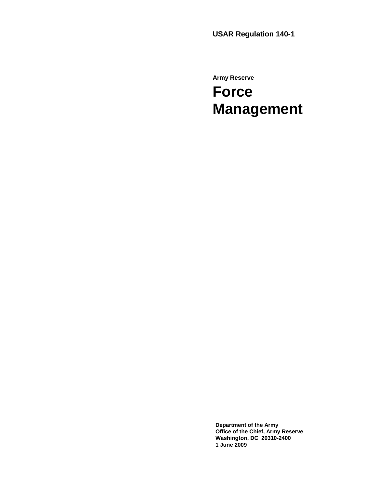**Army Reserve** 

# **Force Management**

**Department of the Army Office of the Chief, Army Reserve Washington, DC 20310-2400 1 June 2009**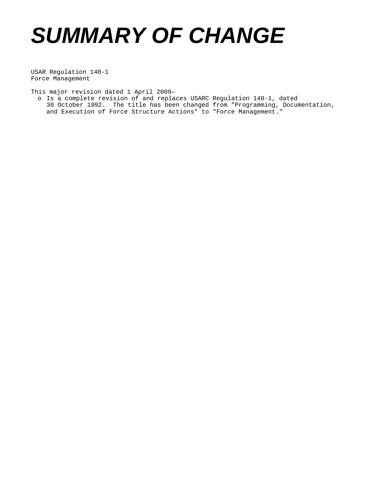# *SUMMARY OF CHANGE*

USAR Regulation 140-1 Force Management

This major revision dated 1 April 2009—

o Is a complete revision of and replaces USARC Regulation 140-1, dated 30 October 1992. The title has been changed from "Programming, Documentation, and Execution of Force Structure Actions" to "Force Management."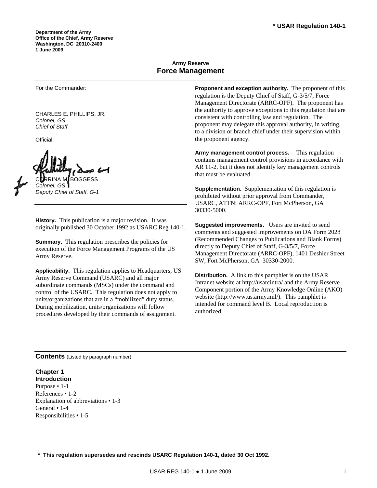# **Army Reserve Force Management**

For the Commander:

CHARLES E. PHILLIPS, JR. *Colonel, GS Chief of Staff* 

Official:

≀RINA M*i* BOGGESS *Colonel, GS* 

*Deputy Chief of Staff, G-1* 

**History.** This publication is a major revision. It was originally published 30 October 1992 as USARC Reg 140-1.

**Summary.** This regulation prescribes the policies for execution of the Force Management Programs of the US Army Reserve.

**Applicability.** This regulation applies to Headquarters, US Army Reserve Command (USARC) and all major subordinate commands (MSCs) under the command and control of the USARC. This regulation does not apply to units/organizations that are in a "mobilized" duty status. During mobilization, units/organizations will follow procedures developed by their commands of assignment.

**Proponent and exception authority.** The proponent of this regulation is the Deputy Chief of Staff, G-3/5/7, Force Management Directorate (ARRC-OPF). The proponent has the authority to approve exceptions to this regulation that are consistent with controlling law and regulation. The proponent may delegate this approval authority, in writing, to a division or branch chief under their supervision within the proponent agency.

**Army management control process.** This regulation contains management control provisions in accordance with AR 11-2, but it does not identify key management controls that must be evaluated.

**Supplementation.** Supplementation of this regulation is prohibited without prior approval from Commander, USARC, ATTN: ARRC-OPF, Fort McPherson, GA 30330-5000.

**Suggested improvements.** Users are invited to send comments and suggested improvements on DA Form 2028 (Recommended Changes to Publications and Blank Forms) directly to Deputy Chief of Staff, G-3/5/7, Force Management Directorate (ARRC-OPF), 1401 Deshler Street SW, Fort McPherson, GA 30330-2000.

**Distribution.** A link to this pamphlet is on the USAR Intranet website at<http://usarcintra/>and the Army Reserve Component portion of the Army Knowledge Online (AKO) website [\(http://www.us.army.mil/\)](http://www.us.army.mil/). This pamphlet is intended for command level B. Local reproduction is authorized.

**Contents** (Listed by paragraph number)

#### **Chapter 1 Introduction**

Purpose • 1-1 References • 1-2 Explanation of abbreviations • 1-3 General **•** 1-4 Responsibilities **•** 1-5

**\* This regulation supersedes and rescinds USARC Regulation 140-1, dated 30 Oct 1992.**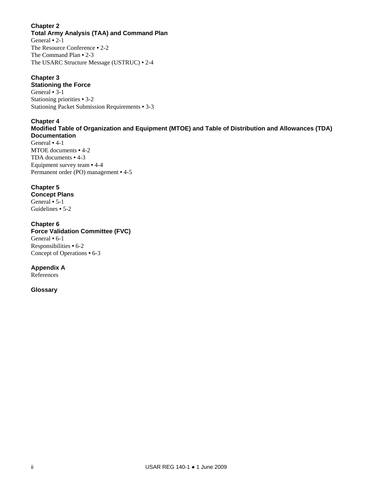# **Chapter 2**

**Total Army Analysis (TAA) and Command Plan**  General **•** 2-1 The Resource Conference **•** 2-2 The Command Plan **•** 2-3 The USARC Structure Message (USTRUC) **•** 2-4

# **Chapter 3**

# **Stationing the Force**

General **•** 3-1 Stationing priorities **•** 3-2 Stationing Packet Submission Requirements **•** 3-3

# **Chapter 4**

#### **Modified Table of Organization and Equipment (MTOE) and Table of Distribution and Allowances (TDA) Documentation**

General **•** 4-1 MTOE documents **•** 4-2 TDA documents **•** 4-3 Equipment survey team **•** 4-4 Permanent order (PO) management **•** 4-5

# **Chapter 5**

**Concept Plans**  General **•** 5-1 Guidelines **•** 5-2

# **Chapter 6**

**Force Validation Committee (FVC)**  General **•** 6-1 Responsibilities **•** 6-2 Concept of Operations **•** 6-3

# **Appendix A**

References

# **Glossary**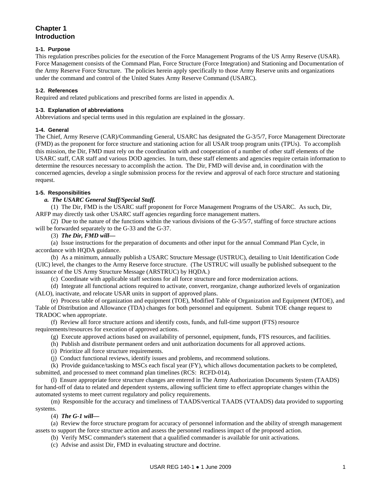# **Chapter 1 Introduction**

#### **1-1. Purpose**

This regulation prescribes policies for the execution of the Force Management Programs of the US Army Reserve (USAR). Force Management consists of the Command Plan, Force Structure (Force Integration) and Stationing and Documentation of the Army Reserve Force Structure. The policies herein apply specifically to those Army Reserve units and organizations under the command and control of the United States Army Reserve Command (USARC).

#### **1-2. References**

Required and related publications and prescribed forms are listed in appendix A.

#### **1-3. Explanation of abbreviations**

Abbreviations and special terms used in this regulation are explained in the glossary.

#### **1-4. General**

The Chief, Army Reserve (CAR)/Commanding General, USARC has designated the G-3/5/7, Force Management Directorate (FMD) as the proponent for force structure and stationing action for all USAR troop program units (TPUs). To accomplish this mission, the Dir, FMD must rely on the coordination with and cooperation of a number of other staff elements of the USARC staff, CAR staff and various DOD agencies. In turn, these staff elements and agencies require certain information to determine the resources necessary to accomplish the action. The Dir, FMD will devise and, in coordination with the concerned agencies, develop a single submission process for the review and approval of each force structure and stationing request.

#### **1-5. Responsibilities**

#### *a. The USARC General Staff/Special Staff.*

 (1) The Dir, FMD is the USARC staff proponent for Force Management Programs of the USARC. As such, Dir, ARFP may directly task other USARC staff agencies regarding force management matters.

 (2) Due to the nature of the functions within the various divisions of the G-3/5/7, staffing of force structure actions will be forwarded separately to the G-33 and the G-37.

#### (3) *The Dir, FMD will—*

 (a) Issue instructions for the preparation of documents and other input for the annual Command Plan Cycle, in accordance with HQDA guidance.

 (b) As a minimum, annually publish a USARC Structure Message (USTRUC), detailing to Unit Identification Code (UIC) level, the changes to the Army Reserve force structure. (The USTRUC will usually be published subsequent to the issuance of the US Army Structure Message (ARSTRUC) by HQDA.)

(c) Coordinate with applicable staff sections for all force structure and force modernization actions.

 (d) Integrate all functional actions required to activate, convert, reorganize, change authorized levels of organization (ALO), inactivate, and relocate USAR units in support of approved plans.

 (e) Process table of organization and equipment (TOE), Modified Table of Organization and Equipment (MTOE), and Table of Distribution and Allowance (TDA) changes for both personnel and equipment. Submit TOE change request to TRADOC when appropriate.

 (f) Review all force structure actions and identify costs, funds, and full-time support (FTS) resource requirements/resources for execution of approved actions.

(g) Execute approved actions based on availability of personnel, equipment, funds, FTS resources, and facilities.

(h) Publish and distribute permanent orders and unit authorization documents for all approved actions.

- (i) Prioritize all force structure requirements.
- (j) Conduct functional reviews, identify issues and problems, and recommend solutions.

 (k) Provide guidance/tasking to MSCs each fiscal year (FY), which allows documentation packets to be completed, submitted, and processed to meet command plan timelines (RCS: RCFD-014).

 (l) Ensure appropriate force structure changes are entered in The Army Authorization Documents System (TAADS) for hand-off of data to related and dependent systems, allowing sufficient time to effect appropriate changes within the automated systems to meet current regulatory and policy requirements.

 (m) Responsible for the accuracy and timeliness of TAADS/vertical TAADS (VTAADS) data provided to supporting systems.

#### (4) *The G-1 will—*

 (a) Review the force structure program for accuracy of personnel information and the ability of strength management assets to support the force structure action and assess the personnel readiness impact of the proposed action.

(b) Verify MSC commander's statement that a qualified commander is available for unit activations.

(c) Advise and assist Dir, FMD in evaluating structure and doctrine.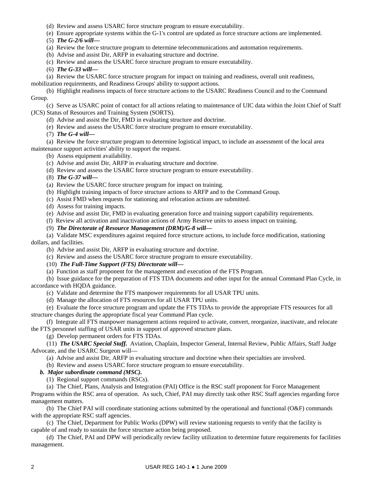(d) Review and assess USARC force structure program to ensure executability.

(e) Ensure appropriate systems within the G-1's control are updated as force structure actions are implemented.

(5) *The G-2/6 will—*

(a) Review the force structure program to determine telecommunications and automation requirements.

(b) Advise and assist Dir, ARFP in evaluating structure and doctrine.

(c) Review and assess the USARC force structure program to ensure executability.

(6) *The G-33 will—*

 (a) Review the USARC force structure program for impact on training and readiness, overall unit readiness, mobilization requirements, and Readiness Groups' ability to support actions.

 (b) Highlight readiness impacts of force structure actions to the USARC Readiness Council and to the Command Group.

 (c) Serve as USARC point of contact for all actions relating to maintenance of UIC data within the Joint Chief of Staff (JCS) Status of Resources and Training System (SORTS).

(d) Advise and assist the Dir, FMD in evaluating structure and doctrine.

(e) Review and assess the USARC force structure program to ensure executability.

(7) *The G-4 will—*

 (a) Review the force structure program to determine logistical impact, to include an assessment of the local area maintenance support activities' ability to support the request.

(b) Assess equipment availability.

(c) Advise and assist Dir, ARFP in evaluating structure and doctrine.

(d) Review and assess the USARC force structure program to ensure executability.

(8) *The G-37 will—*

(a) Review the USARC force structure program for impact on training.

(b) Highlight training impacts of force structure actions to ARFP and to the Command Group.

(c) Assist FMD when requests for stationing and relocation actions are submitted.

(d) Assess for training impacts.

(e) Advise and assist Dir, FMD in evaluating generation force and training support capability requirements.

(f) Review all activation and inactivation actions of Army Reserve units to assess impact on training.

(9) *The Directorate of Resource Management (DRM)/G-8 will—*

 (a) Validate MSC expenditures against required force structure actions, to include force modification, stationing dollars, and facilities.

(b) Advise and assist Dir, ARFP in evaluating structure and doctrine.

(c) Review and assess the USARC force structure program to ensure executability.

(10) *The Full-Time Support (FTS) Directorate will—*

(a) Function as staff proponent for the management and execution of the FTS Program.

 (b) Issue guidance for the preparation of FTS TDA documents and other input for the annual Command Plan Cycle, in accordance with HQDA guidance.

(c) Validate and determine the FTS manpower requirements for all USAR TPU units.

(d) Manage the allocation of FTS resources for all USAR TPU units.

 (e) Evaluate the force structure program and update the FTS TDAs to provide the appropriate FTS resources for all structure changes during the appropriate fiscal year Command Plan cycle.

 (f) Integrate all FTS manpower management actions required to activate, convert, reorganize, inactivate, and relocate the FTS personnel staffing of USAR units in support of approved structure plans.

(g) Develop permanent orders for FTS TDAs.

 (11) *The USARC Special Staff.* Aviation, Chaplain, Inspector General, Internal Review, Public Affairs, Staff Judge Advocate, and the USARC Surgeon will—

(a) Advise and assist Dir, ARFP in evaluating structure and doctrine when their specialties are involved.

(b) Review and assess USARC force structure program to ensure executability.

#### *b. Major subordinate command (MSC).*

(1) Regional support commands (RSCs).

 (a) The Chief, Plans, Analysis and Integration (PAI) Office is the RSC staff proponent for Force Management Programs within the RSC area of operation. As such, Chief, PAI may directly task other RSC Staff agencies regarding force management matters.

 (b) The Chief PAI will coordinate stationing actions submitted by the operational and functional (O&F) commands with the appropriate RSC staff agencies.

 (c) The Chief, Department for Public Works (DPW) will review stationing requests to verify that the facility is capable of and ready to sustain the force structure action being proposed.

 (d) The Chief, PAI and DPW will periodically review facility utilization to determine future requirements for facilities management.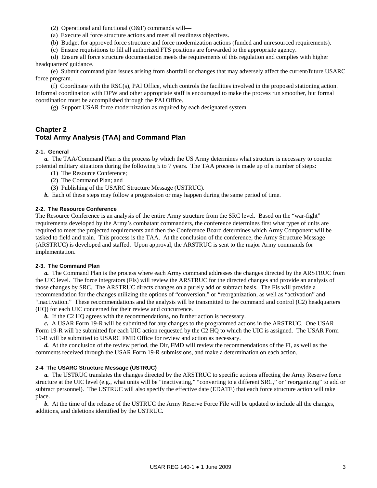- (2) Operational and functional (O&F) commands will—
- (a) Execute all force structure actions and meet all readiness objectives.
- (b) Budget for approved force structure and force modernization actions (funded and unresourced requirements).

(c) Ensure requisitions to fill all authorized FTS positions are forwarded to the appropriate agency.

 (d) Ensure all force structure documentation meets the requirements of this regulation and complies with higher headquarters' guidance.

 (e) Submit command plan issues arising from shortfall or changes that may adversely affect the current/future USARC force program.

 (f) Coordinate with the RSC(s), PAI Office, which controls the facilities involved in the proposed stationing action. Informal coordination with DPW and other appropriate staff is encouraged to make the process run smoother, but formal coordination must be accomplished through the PAI Office.

(g) Support USAR force modernization as required by each designated system.

# **Chapter 2 Total Army Analysis (TAA) and Command Plan**

#### **2-1. General**

*a.* The TAA/Command Plan is the process by which the US Army determines what structure is necessary to counter potential military situations during the following 5 to 7 years. The TAA process is made up of a number of steps:

- (1) The Resource Conference;
- (2) The Command Plan; and
- (3) Publishing of the USARC Structure Message (USTRUC).
- *b.* Each of these steps may follow a progression or may happen during the same period of time.

#### **2-2. The Resource Conference**

The Resource Conference is an analysis of the entire Army structure from the SRC level. Based on the "war-fight" requirements developed by the Army's combatant commanders, the conference determines first what types of units are required to meet the projected requirements and then the Conference Board determines which Army Component will be tasked to field and train. This process is the TAA. At the conclusion of the conference, the Army Structure Message (ARSTRUC) is developed and staffed. Upon approval, the ARSTRUC is sent to the major Army commands for implementation.

# **2-3. The Command Plan**

*a.* The Command Plan is the process where each Army command addresses the changes directed by the ARSTRUC from the UIC level. The force integrators (FIs) will review the ARSTRUC for the directed changes and provide an analysis of those changes by SRC. The ARSTRUC directs changes on a purely add or subtract basis. The FIs will provide a recommendation for the changes utilizing the options of "conversion," or "reorganization, as well as "activation" and "inactivation." These recommendations and the analysis will be transmitted to the command and control (C2) headquarters (HQ) for each UIC concerned for their review and concurrence.

*b.* If the C2 HQ agrees with the recommendations, no further action is necessary.

*c.* A USAR Form 19-R will be submitted for any changes to the programmed actions in the ARSTRUC. One USAR Form 19-R will be submitted for each UIC action requested by the C2 HQ to which the UIC is assigned. The USAR Form 19-R will be submitted to USARC FMD Office for review and action as necessary.

*d.* At the conclusion of the review period, the Dir, FMD will review the recommendations of the FI, as well as the comments received through the USAR Form 19-R submissions, and make a determination on each action.

#### **2-4 The USARC Structure Message (USTRUC)**

*a.* The USTRUC translates the changes directed by the ARSTRUC to specific actions affecting the Army Reserve force structure at the UIC level (e.g., what units will be "inactivating," "converting to a different SRC," or "reorganizing" to add or subtract personnel). The USTRUC will also specify the effective date (EDATE) that each force structure action will take place.

*b.* At the time of the release of the USTRUC the Army Reserve Force File will be updated to include all the changes, additions, and deletions identified by the USTRUC.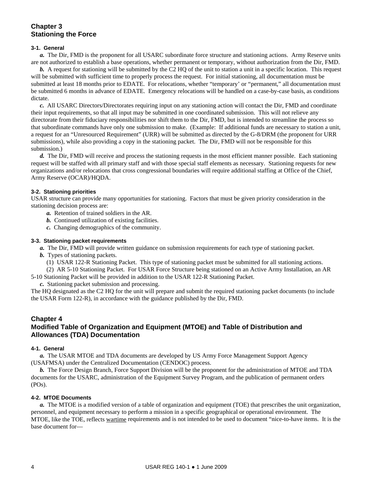# **Chapter 3 Stationing the Force**

#### **3-1. General**

*a.* The Dir, FMD is the proponent for all USARC subordinate force structure and stationing actions. Army Reserve units are not authorized to establish a base operations, whether permanent or temporary, without authorization from the Dir, FMD.

**b.** A request for stationing will be submitted by the C2 HQ of the unit to station a unit in a specific location. This request will be submitted with sufficient time to properly process the request. For initial stationing, all documentation must be submitted at least 18 months prior to EDATE. For relocations, whether "temporary' or "permanent," all documentation must be submitted 6 months in advance of EDATE. Emergency relocations will be handled on a case-by-case basis, as conditions dictate.

*c.* All USARC Directors/Directorates requiring input on any stationing action will contact the Dir, FMD and coordinate their input requirements, so that all input may be submitted in one coordinated submission. This will not relieve any directorate from their fiduciary responsibilities nor shift them to the Dir, FMD, but is intended to streamline the process so that subordinate commands have only one submission to make. (Example: If additional funds are necessary to station a unit, a request for an "Unresourced Requirement" (URR) will be submitted as directed by the G-8/DRM (the proponent for URR submissions), while also providing a copy in the stationing packet. The Dir, FMD will not be responsible for this submission.)

*d.* The Dir, FMD will receive and process the stationing requests in the most efficient manner possible. Each stationing request will be staffed with all primary staff and with those special staff elements as necessary. Stationing requests for new organizations and/or relocations that cross congressional boundaries will require additional staffing at Office of the Chief, Army Reserve (OCAR)/HQDA.

#### **3-2. Stationing priorities**

USAR structure can provide many opportunities for stationing. Factors that must be given priority consideration in the stationing decision process are:

- *a.* Retention of trained soldiers in the AR.
- *b.* Continued utilization of existing facilities.
- *c.* Changing demographics of the community.

#### **3-3. Stationing packet requirements**

*a.* The Dir, FMD will provide written guidance on submission requirements for each type of stationing packet.

- *b.* Types of stationing packets.
	- (1) USAR 122-R Stationing Packet. This type of stationing packet must be submitted for all stationing actions.

(2) AR 5-10 Stationing Packet. For USAR Force Structure being stationed on an Active Army Installation, an AR

5-10 Stationing Packet will be provided in addition to the USAR 122-R Stationing Packet.

*c.* Stationing packet submission and processing.

The HQ designated as the C2 HQ for the unit will prepare and submit the required stationing packet documents (to include the USAR Form 122-R), in accordance with the guidance published by the Dir, FMD.

#### **Chapter 4**

# **Modified Table of Organization and Equipment (MTOE) and Table of Distribution and Allowances (TDA) Documentation**

#### **4-1. General**

*a.* The USAR MTOE and TDA documents are developed by US Army Force Management Support Agency (USAFMSA) under the Centralized Documentation (CENDOC) process.

*b.* The Force Design Branch, Force Support Division will be the proponent for the administration of MTOE and TDA documents for the USARC, administration of the Equipment Survey Program, and the publication of permanent orders (POs).

#### **4-2. MTOE Documents**

*a.* The MTOE is a modified version of a table of organization and equipment (TOE) that prescribes the unit organization, personnel, and equipment necessary to perform a mission in a specific geographical or operational environment. The MTOE, like the TOE, reflects wartime requirements and is not intended to be used to document "nice-to-have items. It is the base document for—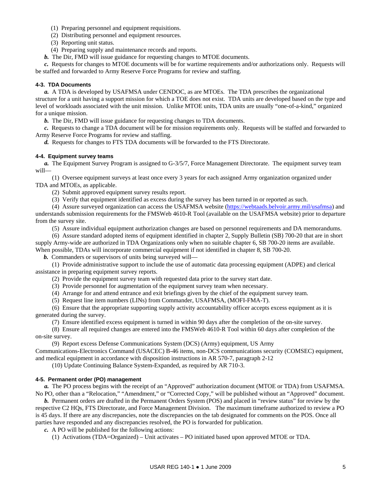- (1) Preparing personnel and equipment requisitions.
- (2) Distributing personnel and equipment resources.
- (3) Reporting unit status.
- (4) Preparing supply and maintenance records and reports.
- *b.* The Dir, FMD will issue guidance for requesting changes to MTOE documents.

*c.* Requests for changes to MTOE documents will be for wartime requirements and/or authorizations only. Requests will be staffed and forwarded to Army Reserve Force Programs for review and staffing.

#### **4-3. TDA Documents**

*a.* A TDA is developed by USAFMSA under CENDOC, as are MTOEs. The TDA prescribes the organizational structure for a unit having a support mission for which a TOE does not exist. TDA units are developed based on the type and level of workloads associated with the unit mission. Unlike MTOE units, TDA units are usually "one-of-a-kind," organized for a unique mission.

*b.* The Dir, FMD will issue guidance for requesting changes to TDA documents.

*c.* Requests to change a TDA document will be for mission requirements only. Requests will be staffed and forwarded to Army Reserve Force Programs for review and staffing.

*d.* Requests for changes to FTS TDA documents will be forwarded to the FTS Directorate.

#### **4-4. Equipment survey teams**

*a.* The Equipment Survey Program is assigned to G-3/5/7, Force Management Directorate. The equipment survey team will—

 (1) Oversee equipment surveys at least once every 3 years for each assigned Army organization organized under TDA and MTOEs, as applicable.

(2) Submit approved equipment survey results report.

(3) Verify that equipment identified as excess during the survey has been turned in or reported as such.

 (4) Assure surveyed organization can access the USAFMSA website (<https://webtaads.belvoir.army.mil/usafmsa>) and understands submission requirements for the FMSWeb 4610-R Tool (available on the USAFMSA website) prior to departure from the survey site.

(5) Assure individual equipment authorization changes are based on personnel requirements and DA memorandums.

 (6) Assure standard adopted items of equipment identified in chapter 2, Supply Bulletin (SB) 700-20 that are in short supply Army-wide are authorized in TDA Organizations only when no suitable chapter 6, SB 700-20 items are available. When possible, TDAs will incorporate commercial equipment if not identified in chapter 8, SB 700-20.

*b.* Commanders or supervisors of units being surveyed will—

 (1) Provide administrative support to include the use of automatic data processing equipment (ADPE) and clerical assistance in preparing equipment survey reports.

(2) Provide the equipment survey team with requested data prior to the survey start date.

- (3) Provide personnel for augmentation of the equipment survey team when necessary.
- (4) Arrange for and attend entrance and exit briefings given by the chief of the equipment survey team.
- (5) Request line item numbers (LINs) from Commander, USAFMSA, (MOFI-FMA-T).

 (6) Ensure that the appropriate supporting supply activity accountability officer accepts excess equipment as it is generated during the survey.

(7) Ensure identified excess equipment is turned in within 90 days after the completion of the on-site survey.

 (8) Ensure all required changes are entered into the FMSWeb 4610-R Tool within 60 days after completion of the on-site survey.

(9) Report excess Defense Communications System (DCS) (Army) equipment, US Army

Communications-Electronics Command (USACEC) B-46 items, non-DCS communications security (COMSEC) equipment, and medical equipment in accordance with disposition instructions in AR 570-7, paragraph 2-12

(10) Update Continuing Balance System-Expanded, as required by AR 710-3.

#### **4-5. Permanent order (PO) management**

*a.* The PO process begins with the receipt of an "Approved" authorization document (MTOE or TDA) from USAFMSA. No PO, other than a "Relocation," "Amendment," or "Corrected Copy," will be published without an "Approved" document.

*b.* Permanent orders are drafted in the Permanent Orders System (POS) and placed in "review status" for review by the respective C2 HQs, FTS Directorate, and Force Management Division. The maximum timeframe authorized to review a PO is 45 days. If there are any discrepancies, note the discrepancies on the tab designated for comments on the POS. Once all parties have responded and any discrepancies resolved, the PO is forwarded for publication.

*c.* A PO will be published for the following actions:

(1) Activations (TDA=Organized) – Unit activates – PO initiated based upon approved MTOE or TDA.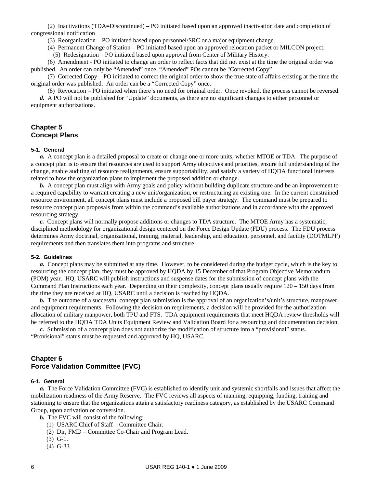(2) Inactivations (TDA=Discontinued) – PO initiated based upon an approved inactivation date and completion of congressional notification

(3) Reorganization – PO initiated based upon personnel/SRC or a major equipment change.

(4) Permanent Change of Station – PO initiated based upon an approved relocation packet or MILCON project.

(5) Redesignation – PO initiated based upon approval from Center of Military History.

 (6) Amendment - PO initiated to change an order to reflect facts that did not exist at the time the original order was published. An order can only be "Amended" once. "Amended" POs cannot be "Corrected Copy"

 (7) Corrected Copy – PO initiated to correct the original order to show the true state of affairs existing at the time the original order was published. An order can be a "Corrected Copy" once.

(8) Revocation – PO initiated when there's no need for original order. Once revoked, the process cannot be reversed.

*d.* A PO will not be published for "Update" documents, as there are no significant changes to either personnel or equipment authorizations.

# **Chapter 5 Concept Plans**

#### **5-1. General**

*a.* A concept plan is a detailed proposal to create or change one or more units, whether MTOE or TDA. The purpose of a concept plan is to ensure that resources are used to support Army objectives and priorities, ensure full understanding of the change, enable auditing of resource realignments, ensure supportability, and satisfy a variety of HQDA functional interests related to how the organization plans to implement the proposed addition or change.

*b.* A concept plan must align with Army goals and policy without building duplicate structure and be an improvement to a required capability to warrant creating a new unit/organization, or restructuring an existing one. In the current constrained resource environment, all concept plans must include a proposed bill payer strategy. The command must be prepared to resource concept plan proposals from within the command's available authorizations and in accordance with the approved resourcing strategy.

*c.* Concept plans will normally propose additions or changes to TDA structure. The MTOE Army has a systematic, disciplined methodology for organizational design centered on the Force Design Update (FDU) process. The FDU process determines Army doctrinal, organizational, training, material, leadership, and education, personnel, and facility (DOTMLPF) requirements and then translates them into programs and structure.

#### **5-2. Guidelines**

*a.* Concept plans may be submitted at any time. However, to be considered during the budget cycle, which is the key to resourcing the concept plan, they must be approved by HQDA by 15 December of that Program Objective Memorandum (POM) year. HQ, USARC will publish instructions and suspense dates for the submission of concept plans with the Command Plan Instructions each year. Depending on their complexity, concept plans usually require 120 – 150 days from the time they are received at HQ, USARC until a decision is reached by HQDA.

*b.* The outcome of a successful concept plan submission is the approval of an organization's/unit's structure, manpower, and equipment requirements. Following the decision on requirements, a decision will be provided for the authorization allocation of military manpower, both TPU and FTS. TDA equipment requirements that meet HQDA review thresholds will be referred to the HQDA TDA Units Equipment Review and Validation Board for a resourcing and documentation decision.

*c.* Submission of a concept plan does not authorize the modification of structure into a "provisional" status. "Provisional" status must be requested and approved by HQ, USARC.

#### **Chapter 6 Force Validation Committee (FVC)**

#### **6-1. General**

*a.* The Force Validation Committee (FVC) is established to identify unit and systemic shortfalls and issues that affect the mobilization readiness of the Army Reserve. The FVC reviews all aspects of manning, equipping, funding, training and stationing to ensure that the organizations attain a satisfactory readiness category, as established by the USARC Command Group, upon activation or conversion.

*b.* The FVC will consist of the following:

- (1) USARC Chief of Staff Committee Chair.
- (2) Dir, FMD Committee Co-Chair and Program Lead.
- (3) G-1.
- (4) G-33.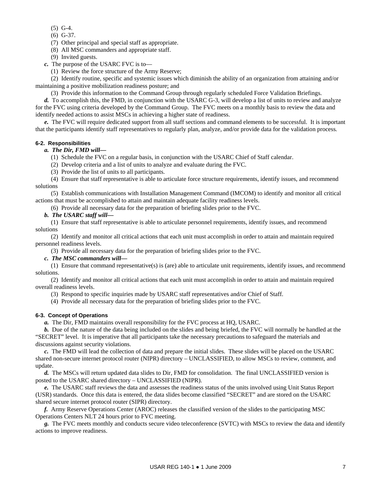- (5) G-4.
- (6) G-37.
- (7) Other principal and special staff as appropriate.

(8) All MSC commanders and appropriate staff.

(9) Invited guests.

*c.* The purpose of the USARC FVC is to—

(1) Review the force structure of the Army Reserve;

 (2) Identify routine, specific and systemic issues which diminish the ability of an organization from attaining and/or maintaining a positive mobilization readiness posture; and

(3) Provide this information to the Command Group through regularly scheduled Force Validation Briefings.

*d.* To accomplish this, the FMD, in conjunction with the USARC G-3, will develop a list of units to review and analyze for the FVC using criteria developed by the Command Group. The FVC meets on a monthly basis to review the data and identify needed actions to assist MSCs in achieving a higher state of readiness.

*e.* The FVC will require dedicated support from all staff sections and command elements to be successful. It is important that the participants identify staff representatives to regularly plan, analyze, and/or provide data for the validation process.

#### **6-2. Responsibilities**

#### *a. The Dir, FMD will—*

(1) Schedule the FVC on a regular basis, in conjunction with the USARC Chief of Staff calendar.

(2) Develop criteria and a list of units to analyze and evaluate during the FVC.

(3) Provide the list of units to all participants.

 (4) Ensure that staff representative is able to articulate force structure requirements, identify issues, and recommend solutions

 (5) Establish communications with Installation Management Command (IMCOM) to identify and monitor all critical actions that must be accomplished to attain and maintain adequate facility readiness levels.

(6) Provide all necessary data for the preparation of briefing slides prior to the FVC.

#### *b. The USARC staff will—*

 (1) Ensure that staff representative is able to articulate personnel requirements, identify issues, and recommend solutions

 (2) Identify and monitor all critical actions that each unit must accomplish in order to attain and maintain required personnel readiness levels.

(3) Provide all necessary data for the preparation of briefing slides prior to the FVC.

#### *c. The MSC commanders will—*

 (1) Ensure that command representative(s) is (are) able to articulate unit requirements, identify issues, and recommend solutions.

 (2) Identify and monitor all critical actions that each unit must accomplish in order to attain and maintain required overall readiness levels.

(3) Respond to specific inquiries made by USARC staff representatives and/or Chief of Staff.

(4) Provide all necessary data for the preparation of briefing slides prior to the FVC.

#### **6-3. Concept of Operations**

*a.* The Dir, FMD maintains overall responsibility for the FVC process at HQ, USARC.

*b.* Due of the nature of the data being included on the slides and being briefed, the FVC will normally be handled at the "SECRET" level. It is imperative that all participants take the necessary precautions to safeguard the materials and discussions against security violations.

*c.* The FMD will lead the collection of data and prepare the initial slides. These slides will be placed on the USARC shared non-secure internet protocol router (NIPR) directory – UNCLASSIFIED, to allow MSCs to review, comment, and update.

*d.* The MSCs will return updated data slides to Dir, FMD for consolidation. The final UNCLASSIFIED version is posted to the USARC shared directory – UNCLASSIFIED (NIPR).

*e.* The USARC staff reviews the data and assesses the readiness status of the units involved using Unit Status Report (USR) standards. Once this data is entered, the data slides become classified "SECRET" and are stored on the USARC shared secure internet protocol router (SIPR) directory.

*f.* Army Reserve Operations Center (AROC) releases the classified version of the slides to the participating MSC Operations Centers NLT 24 hours prior to FVC meeting.

*g.* The FVC meets monthly and conducts secure video teleconference (SVTC) with MSCs to review the data and identify actions to improve readiness.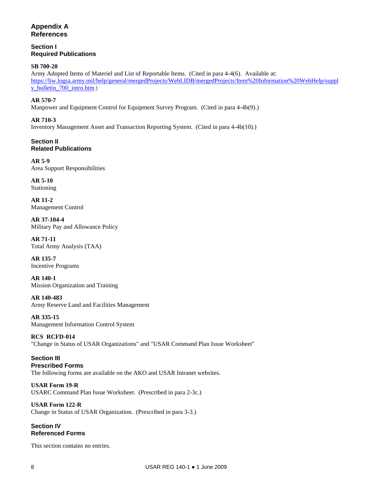# **Appendix A References**

**Section I Required Publications** 

# **SB 700-20**

Army Adopted Items of Materiel and List of Reportable Items. (Cited in para 4-4(6). Available at: [https://liw.logsa.army.mil/help/general/mergedProjects/WebLIDB/mergedProjects/Item%20Information%20WebHelp/suppl](https://liw.logsa.army.mil/help/general/mergedProjects/WebLIDB/mergedProjects/Item%20Information%20WebHelp/supply_bulletin_700_intro.htm) [y\\_bulletin\\_700\\_intro.htm](https://liw.logsa.army.mil/help/general/mergedProjects/WebLIDB/mergedProjects/Item%20Information%20WebHelp/supply_bulletin_700_intro.htm).)

**AR 570-7**  Manpower and Equipment Control for Equipment Survey Program. (Cited in para 4-4b(9).)

**AR 710-3**  Inventory Management Asset and Transaction Reporting System. (Cited in para 4-4b(10).)

**Section II Related Publications** 

**AR 5-9**  Area Support Responsibilities

**AR 5-10**  Stationing

**AR 11-2**  Management Control

**AR 37-104-4**  Military Pay and Allowance Policy

**AR 71-11**  Total Army Analysis (TAA)

**AR 135-7**  Incentive Programs

**AR 140-1**  Mission Organization and Training

**AR 140-483**  Army Reserve Land and Facilities Management

**AR 335-15**  Management Information Control System

**RCS RCFD-014**  "Change in Status of USAR Organizations" and "USAR Command Plan Issue Worksheet"

**Section III Prescribed Forms**  The following forms are available on the AKO and USAR Intranet websites.

**USAR Form 19-R**  USARC Command Plan Issue Worksheet. (Prescribed in para 2-3c.)

**USAR Form 122-R**  Change in Status of USAR Organization. (Prescribed in para 3-3.)

# **Section IV Referenced Forms**

This section contains no entries.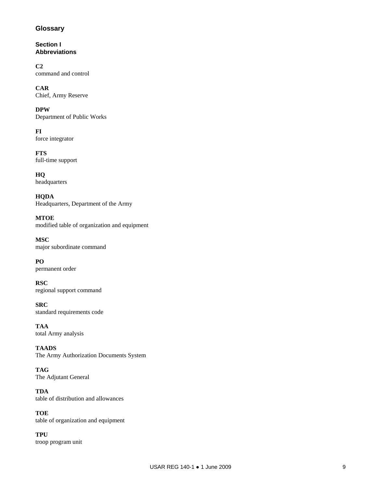# **Glossary**

**Section I Abbreviations** 

**C2**  command and control

**CAR**  Chief, Army Reserve

**DPW**  Department of Public Works

**FI**  force integrator

**FTS**  full-time support

**HQ**  headquarters

**HQDA**  Headquarters, Department of the Army

**MTOE**  modified table of organization and equipment

**MSC**  major subordinate command

**PO**  permanent order

**RSC**  regional support command

**SRC**  standard requirements code

**TAA**  total Army analysis

**TAADS**  The Army Authorization Documents System

**TAG**  The Adjutant General

**TDA**  table of distribution and allowances

**TOE**  table of organization and equipment

**TPU**  troop program unit